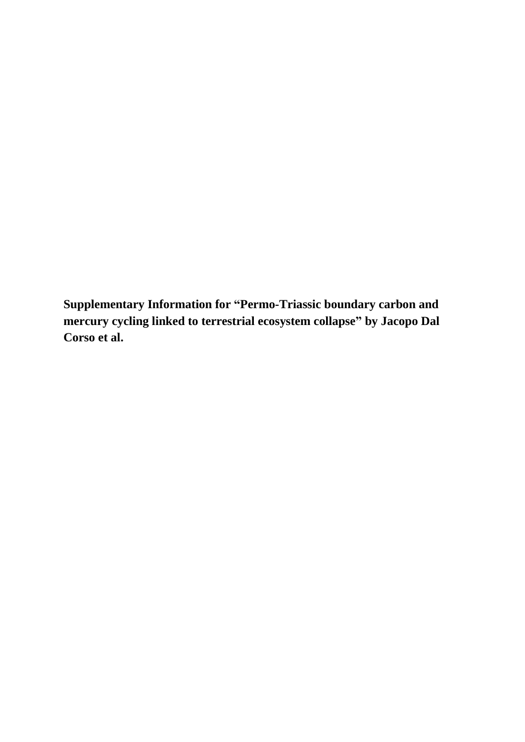**Supplementary Information for "Permo-Triassic boundary carbon and mercury cycling linked to terrestrial ecosystem collapse" by Jacopo Dal Corso et al.**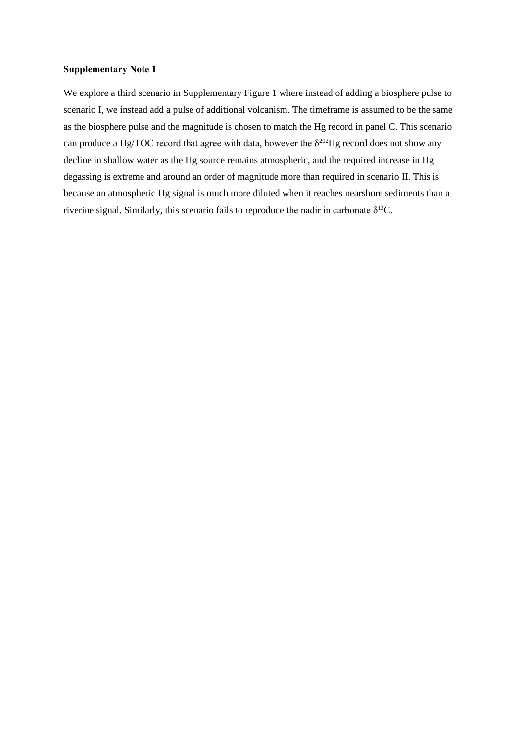## **Supplementary Note 1**

We explore a third scenario in Supplementary Figure 1 where instead of adding a biosphere pulse to scenario I, we instead add a pulse of additional volcanism. The timeframe is assumed to be the same as the biosphere pulse and the magnitude is chosen to match the Hg record in panel C. This scenario can produce a Hg/TOC record that agree with data, however the  $\delta^{202}$ Hg record does not show any decline in shallow water as the Hg source remains atmospheric, and the required increase in Hg degassing is extreme and around an order of magnitude more than required in scenario II. This is because an atmospheric Hg signal is much more diluted when it reaches nearshore sediments than a riverine signal. Similarly, this scenario fails to reproduce the nadir in carbonate  $\delta^{13}C$ .